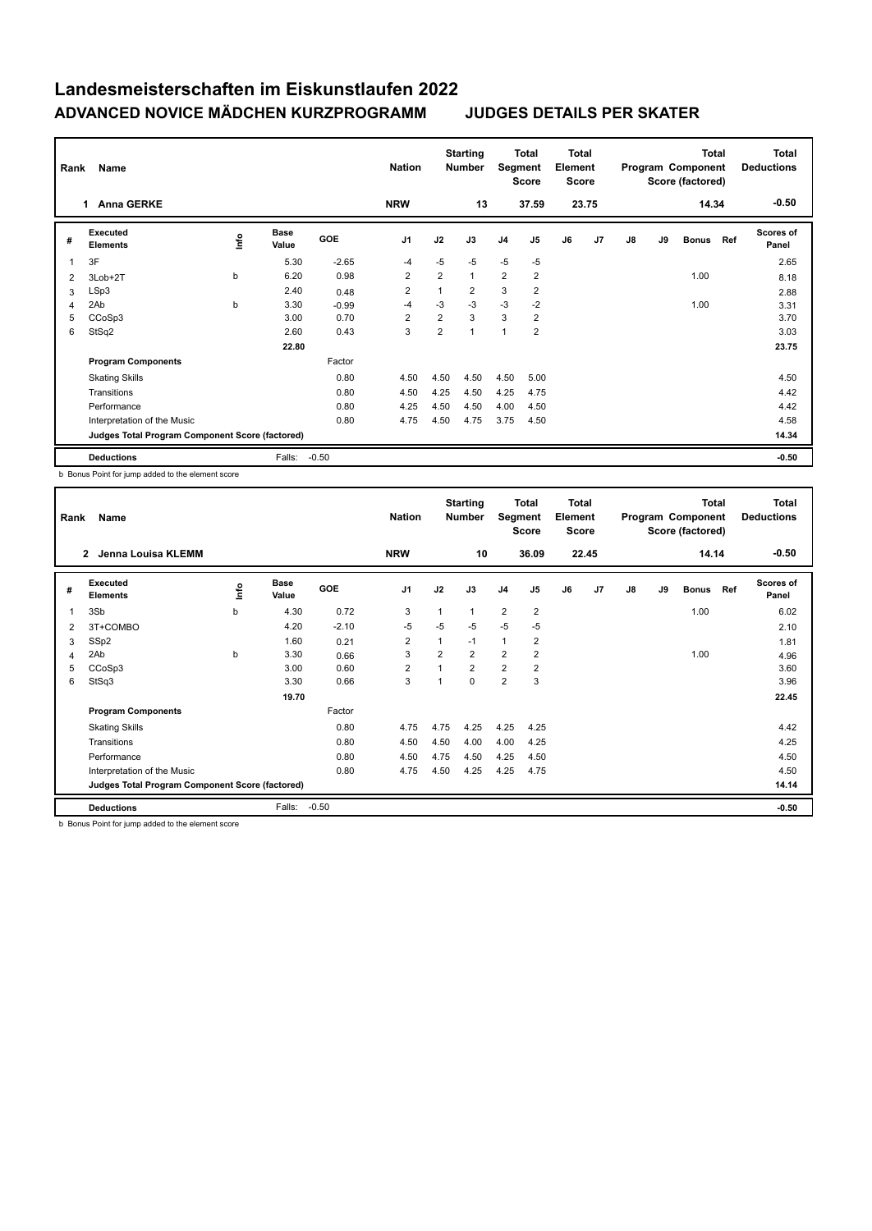| Rank | Name                                            |      |                      |            | <b>Nation</b>  |                | <b>Starting</b><br><b>Number</b> | Segment        | Total<br><b>Score</b> | Total<br>Element<br><b>Score</b> |       |    |    | <b>Total</b><br>Program Component<br>Score (factored) |     | <b>Total</b><br><b>Deductions</b> |
|------|-------------------------------------------------|------|----------------------|------------|----------------|----------------|----------------------------------|----------------|-----------------------|----------------------------------|-------|----|----|-------------------------------------------------------|-----|-----------------------------------|
|      | <b>Anna GERKE</b><br>1.                         |      |                      |            | <b>NRW</b>     |                | 13                               |                | 37.59                 |                                  | 23.75 |    |    | 14.34                                                 |     | $-0.50$                           |
| #    | Executed<br><b>Elements</b>                     | ١nf٥ | <b>Base</b><br>Value | <b>GOE</b> | J <sub>1</sub> | J2             | J3                               | J <sub>4</sub> | J5                    | J6                               | J7    | J8 | J9 | <b>Bonus</b>                                          | Ref | <b>Scores of</b><br>Panel         |
| 1    | 3F                                              |      | 5.30                 | $-2.65$    | $-4$           | $-5$           | $-5$                             | $-5$           | $-5$                  |                                  |       |    |    |                                                       |     | 2.65                              |
| 2    | 3Lob+2T                                         | b    | 6.20                 | 0.98       | 2              | $\overline{2}$ | $\mathbf{1}$                     | $\overline{2}$ | $\overline{2}$        |                                  |       |    |    | 1.00                                                  |     | 8.18                              |
| 3    | LSp3                                            |      | 2.40                 | 0.48       | $\overline{2}$ | 1              | $\overline{2}$                   | 3              | $\overline{2}$        |                                  |       |    |    |                                                       |     | 2.88                              |
| 4    | 2Ab                                             | b    | 3.30                 | $-0.99$    | -4             | $-3$           | $-3$                             | $-3$           | $-2$                  |                                  |       |    |    | 1.00                                                  |     | 3.31                              |
| 5    | CCoSp3                                          |      | 3.00                 | 0.70       | $\overline{2}$ | $\overline{2}$ | 3                                | 3              | $\overline{2}$        |                                  |       |    |    |                                                       |     | 3.70                              |
| 6    | StSq2                                           |      | 2.60                 | 0.43       | 3              | $\overline{2}$ | 1                                | 1              | $\overline{2}$        |                                  |       |    |    |                                                       |     | 3.03                              |
|      |                                                 |      | 22.80                |            |                |                |                                  |                |                       |                                  |       |    |    |                                                       |     | 23.75                             |
|      | <b>Program Components</b>                       |      |                      | Factor     |                |                |                                  |                |                       |                                  |       |    |    |                                                       |     |                                   |
|      | <b>Skating Skills</b>                           |      |                      | 0.80       | 4.50           | 4.50           | 4.50                             | 4.50           | 5.00                  |                                  |       |    |    |                                                       |     | 4.50                              |
|      | Transitions                                     |      |                      | 0.80       | 4.50           | 4.25           | 4.50                             | 4.25           | 4.75                  |                                  |       |    |    |                                                       |     | 4.42                              |
|      | Performance                                     |      |                      | 0.80       | 4.25           | 4.50           | 4.50                             | 4.00           | 4.50                  |                                  |       |    |    |                                                       |     | 4.42                              |
|      | Interpretation of the Music                     |      |                      | 0.80       | 4.75           | 4.50           | 4.75                             | 3.75           | 4.50                  |                                  |       |    |    |                                                       |     | 4.58                              |
|      | Judges Total Program Component Score (factored) |      |                      |            |                |                |                                  |                |                       |                                  |       |    |    |                                                       |     | 14.34                             |
|      | <b>Deductions</b>                               |      | Falls:               | $-0.50$    |                |                |                                  |                |                       |                                  |       |    |    |                                                       |     | $-0.50$                           |

b Bonus Point for jump added to the element score

| Rank           | Name                                            |      |                      |         | <b>Nation</b>  |                | <b>Starting</b><br><b>Number</b> | Segment        | <b>Total</b><br><b>Score</b> | <b>Total</b><br>Element<br><b>Score</b> |                |    |    | <b>Total</b><br>Program Component<br>Score (factored) |     | Total<br><b>Deductions</b> |
|----------------|-------------------------------------------------|------|----------------------|---------|----------------|----------------|----------------------------------|----------------|------------------------------|-----------------------------------------|----------------|----|----|-------------------------------------------------------|-----|----------------------------|
|                | $\mathbf{2}$<br>Jenna Louisa KLEMM              |      |                      |         | <b>NRW</b>     |                | 10                               |                | 36.09                        |                                         | 22.45          |    |    | 14.14                                                 |     | $-0.50$                    |
| #              | Executed<br><b>Elements</b>                     | lnfo | <b>Base</b><br>Value | GOE     | J <sub>1</sub> | J2             | J3                               | J <sub>4</sub> | J <sub>5</sub>               | J6                                      | J <sub>7</sub> | J8 | J9 | <b>Bonus</b>                                          | Ref | <b>Scores of</b><br>Panel  |
| $\mathbf{1}$   | 3Sb                                             | b    | 4.30                 | 0.72    | 3              |                | $\mathbf{1}$                     | $\overline{2}$ | $\overline{2}$               |                                         |                |    |    | 1.00                                                  |     | 6.02                       |
| 2              | 3T+COMBO                                        |      | 4.20                 | $-2.10$ | -5             | $-5$           | $-5$                             | $-5$           | $-5$                         |                                         |                |    |    |                                                       |     | 2.10                       |
| 3              | SSp2                                            |      | 1.60                 | 0.21    | $\overline{2}$ |                | $-1$                             | 1              | 2                            |                                         |                |    |    |                                                       |     | 1.81                       |
| $\overline{4}$ | 2Ab                                             | b    | 3.30                 | 0.66    | 3              | $\overline{2}$ | $\overline{2}$                   | $\overline{2}$ | $\overline{2}$               |                                         |                |    |    | 1.00                                                  |     | 4.96                       |
| 5              | CCoSp3                                          |      | 3.00                 | 0.60    | $\overline{2}$ |                | $\overline{2}$                   | $\overline{2}$ | 2                            |                                         |                |    |    |                                                       |     | 3.60                       |
| 6              | StSq3                                           |      | 3.30                 | 0.66    | 3              |                | 0                                | $\overline{2}$ | 3                            |                                         |                |    |    |                                                       |     | 3.96                       |
|                |                                                 |      | 19.70                |         |                |                |                                  |                |                              |                                         |                |    |    |                                                       |     | 22.45                      |
|                | <b>Program Components</b>                       |      |                      | Factor  |                |                |                                  |                |                              |                                         |                |    |    |                                                       |     |                            |
|                | <b>Skating Skills</b>                           |      |                      | 0.80    | 4.75           | 4.75           | 4.25                             | 4.25           | 4.25                         |                                         |                |    |    |                                                       |     | 4.42                       |
|                | Transitions                                     |      |                      | 0.80    | 4.50           | 4.50           | 4.00                             | 4.00           | 4.25                         |                                         |                |    |    |                                                       |     | 4.25                       |
|                | Performance                                     |      |                      | 0.80    | 4.50           | 4.75           | 4.50                             | 4.25           | 4.50                         |                                         |                |    |    |                                                       |     | 4.50                       |
|                | Interpretation of the Music                     |      |                      | 0.80    | 4.75           | 4.50           | 4.25                             | 4.25           | 4.75                         |                                         |                |    |    |                                                       |     | 4.50                       |
|                | Judges Total Program Component Score (factored) |      |                      |         |                |                |                                  |                |                              |                                         |                |    |    |                                                       |     | 14.14                      |
|                | <b>Deductions</b>                               |      | Falls:               | $-0.50$ |                |                |                                  |                |                              |                                         |                |    |    |                                                       |     | $-0.50$                    |

b Bonus Point for jump added to the element score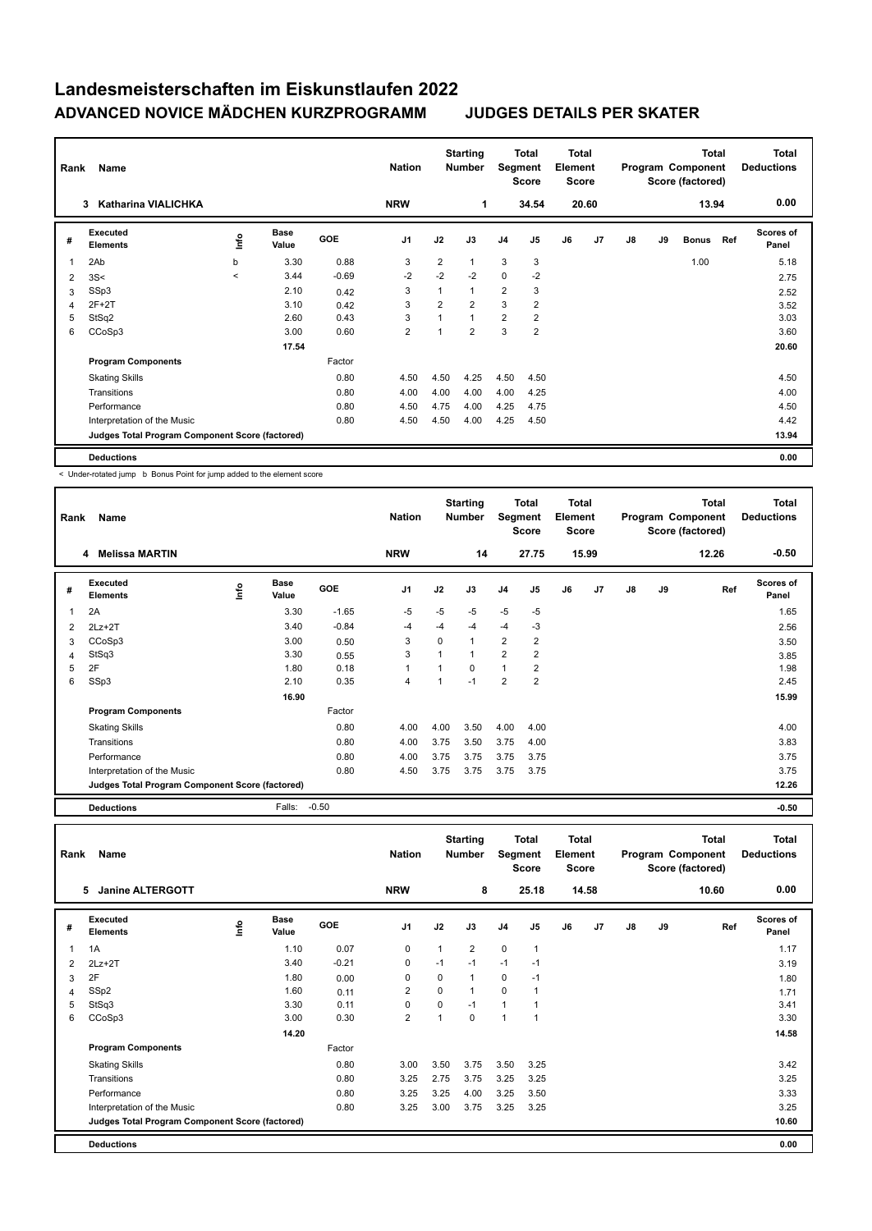| Rank           | Name                                            |         |                      |            | <b>Nation</b>  |                | <b>Starting</b><br><b>Number</b> | Segment        | Total<br><b>Score</b> | <b>Total</b><br>Element<br>Score |                |    |    | <b>Total</b><br>Program Component<br>Score (factored) |     | <b>Total</b><br><b>Deductions</b> |
|----------------|-------------------------------------------------|---------|----------------------|------------|----------------|----------------|----------------------------------|----------------|-----------------------|----------------------------------|----------------|----|----|-------------------------------------------------------|-----|-----------------------------------|
|                | <b>Katharina VIALICHKA</b><br>3                 |         |                      |            | <b>NRW</b>     |                | 1                                |                | 34.54                 |                                  | 20.60          |    |    | 13.94                                                 |     | 0.00                              |
| #              | Executed<br><b>Elements</b>                     | lnfo    | <b>Base</b><br>Value | <b>GOE</b> | J <sub>1</sub> | J2             | J3                               | J <sub>4</sub> | J <sub>5</sub>        | J6                               | J <sub>7</sub> | J8 | J9 | <b>Bonus</b>                                          | Ref | Scores of<br>Panel                |
| 1              | 2Ab                                             | b       | 3.30                 | 0.88       | 3              | $\overline{2}$ | 1                                | 3              | 3                     |                                  |                |    |    | 1.00                                                  |     | 5.18                              |
| 2              | 3S<                                             | $\prec$ | 3.44                 | $-0.69$    | $-2$           | $-2$           | $-2$                             | $\Omega$       | $-2$                  |                                  |                |    |    |                                                       |     | 2.75                              |
| 3              | SSp3                                            |         | 2.10                 | 0.42       | 3              | 1              | $\overline{1}$                   | $\overline{2}$ | 3                     |                                  |                |    |    |                                                       |     | 2.52                              |
| $\overline{4}$ | $2F+2T$                                         |         | 3.10                 | 0.42       | 3              | $\overline{2}$ | $\overline{2}$                   | 3              | $\overline{2}$        |                                  |                |    |    |                                                       |     | 3.52                              |
| 5              | StSq2                                           |         | 2.60                 | 0.43       | 3              | 1              | $\overline{1}$                   | $\overline{2}$ | $\overline{2}$        |                                  |                |    |    |                                                       |     | 3.03                              |
| 6              | CCoSp3                                          |         | 3.00                 | 0.60       | $\overline{2}$ | $\overline{ }$ | $\overline{2}$                   | 3              | $\overline{2}$        |                                  |                |    |    |                                                       |     | 3.60                              |
|                |                                                 |         | 17.54                |            |                |                |                                  |                |                       |                                  |                |    |    |                                                       |     | 20.60                             |
|                | <b>Program Components</b>                       |         |                      | Factor     |                |                |                                  |                |                       |                                  |                |    |    |                                                       |     |                                   |
|                | <b>Skating Skills</b>                           |         |                      | 0.80       | 4.50           | 4.50           | 4.25                             | 4.50           | 4.50                  |                                  |                |    |    |                                                       |     | 4.50                              |
|                | Transitions                                     |         |                      | 0.80       | 4.00           | 4.00           | 4.00                             | 4.00           | 4.25                  |                                  |                |    |    |                                                       |     | 4.00                              |
|                | Performance                                     |         |                      | 0.80       | 4.50           | 4.75           | 4.00                             | 4.25           | 4.75                  |                                  |                |    |    |                                                       |     | 4.50                              |
|                | Interpretation of the Music                     |         |                      | 0.80       | 4.50           | 4.50           | 4.00                             | 4.25           | 4.50                  |                                  |                |    |    |                                                       |     | 4.42                              |
|                | Judges Total Program Component Score (factored) |         |                      |            |                |                |                                  |                |                       |                                  |                |    |    |                                                       |     | 13.94                             |
|                | <b>Deductions</b>                               |         |                      |            |                |                |                                  |                |                       |                                  |                |    |    |                                                       |     | 0.00                              |

< Under-rotated jump b Bonus Point for jump added to the element score

| Rank | Name                                            |   |                      |            | <b>Nation</b>  |      | <b>Starting</b><br><b>Number</b> | Segment        | <b>Total</b><br><b>Score</b> | Total<br>Element<br><b>Score</b> |                |               |    | <b>Total</b><br>Program Component<br>Score (factored) | Total<br><b>Deductions</b> |
|------|-------------------------------------------------|---|----------------------|------------|----------------|------|----------------------------------|----------------|------------------------------|----------------------------------|----------------|---------------|----|-------------------------------------------------------|----------------------------|
|      | Melissa MARTIN<br>4                             |   |                      |            | <b>NRW</b>     |      | 14                               |                | 27.75                        |                                  | 15.99          |               |    | 12.26                                                 | $-0.50$                    |
| #    | Executed<br><b>Elements</b>                     | ۴ | <b>Base</b><br>Value | <b>GOE</b> | J <sub>1</sub> | J2   | J3                               | J <sub>4</sub> | J <sub>5</sub>               | J6                               | J <sub>7</sub> | $\mathsf{J}8$ | J9 | Ref                                                   | <b>Scores of</b><br>Panel  |
|      | 2A                                              |   | 3.30                 | $-1.65$    | $-5$           | -5   | $-5$                             | $-5$           | -5                           |                                  |                |               |    |                                                       | 1.65                       |
| 2    | $2Lz+2T$                                        |   | 3.40                 | $-0.84$    | $-4$           | -4   | $-4$                             | $-4$           | $-3$                         |                                  |                |               |    |                                                       | 2.56                       |
| 3    | CCoSp3                                          |   | 3.00                 | 0.50       | 3              | 0    | 1                                | $\overline{2}$ | $\overline{2}$               |                                  |                |               |    |                                                       | 3.50                       |
| 4    | StSq3                                           |   | 3.30                 | 0.55       | 3              | 1    | 1                                | $\overline{2}$ | 2                            |                                  |                |               |    |                                                       | 3.85                       |
| 5    | 2F                                              |   | 1.80                 | 0.18       | $\overline{1}$ | 1    | 0                                | $\mathbf{1}$   | $\overline{2}$               |                                  |                |               |    |                                                       | 1.98                       |
| 6    | SSp3                                            |   | 2.10                 | 0.35       | $\overline{4}$ | 1    | $-1$                             | $\overline{2}$ | $\overline{2}$               |                                  |                |               |    |                                                       | 2.45                       |
|      |                                                 |   | 16.90                |            |                |      |                                  |                |                              |                                  |                |               |    |                                                       | 15.99                      |
|      | <b>Program Components</b>                       |   |                      | Factor     |                |      |                                  |                |                              |                                  |                |               |    |                                                       |                            |
|      | <b>Skating Skills</b>                           |   |                      | 0.80       | 4.00           | 4.00 | 3.50                             | 4.00           | 4.00                         |                                  |                |               |    |                                                       | 4.00                       |
|      | Transitions                                     |   |                      | 0.80       | 4.00           | 3.75 | 3.50                             | 3.75           | 4.00                         |                                  |                |               |    |                                                       | 3.83                       |
|      | Performance                                     |   |                      | 0.80       | 4.00           | 3.75 | 3.75                             | 3.75           | 3.75                         |                                  |                |               |    |                                                       | 3.75                       |
|      | Interpretation of the Music                     |   |                      | 0.80       | 4.50           | 3.75 | 3.75                             | 3.75           | 3.75                         |                                  |                |               |    |                                                       | 3.75                       |
|      | Judges Total Program Component Score (factored) |   |                      |            |                |      |                                  |                |                              |                                  |                |               |    |                                                       | 12.26                      |

**Deductions** Falls: -0.50 **-0.50**

| Rank | Name                                            |      |                      |            | <b>Nation</b>  |          | <b>Starting</b><br><b>Number</b> |              | <b>Total</b><br>Segment<br><b>Score</b> | <b>Total</b><br>Element<br><b>Score</b> |       |    |    | <b>Total</b><br>Program Component<br>Score (factored) | <b>Total</b><br><b>Deductions</b> |
|------|-------------------------------------------------|------|----------------------|------------|----------------|----------|----------------------------------|--------------|-----------------------------------------|-----------------------------------------|-------|----|----|-------------------------------------------------------|-----------------------------------|
|      | <b>Janine ALTERGOTT</b><br>5                    |      |                      |            | <b>NRW</b>     |          | 8                                |              | 25.18                                   |                                         | 14.58 |    |    | 10.60                                                 | 0.00                              |
| #    | <b>Executed</b><br><b>Elements</b>              | ١nf٥ | <b>Base</b><br>Value | <b>GOE</b> | J <sub>1</sub> | J2       | J3                               | J4           | J5                                      | J6                                      | J7    | J8 | J9 | Ref                                                   | Scores of<br>Panel                |
| 1    | 1A                                              |      | 1.10                 | 0.07       | 0              | 1        | $\overline{2}$                   | $\mathbf 0$  | 1                                       |                                         |       |    |    |                                                       | 1.17                              |
| 2    | $2Lz+2T$                                        |      | 3.40                 | $-0.21$    | 0              | $-1$     | $-1$                             | $-1$         | $-1$                                    |                                         |       |    |    |                                                       | 3.19                              |
| 3    | 2F                                              |      | 1.80                 | 0.00       | 0              | 0        | $\mathbf{1}$                     | 0            | $-1$                                    |                                         |       |    |    |                                                       | 1.80                              |
| 4    | SSp2                                            |      | 1.60                 | 0.11       | $\overline{2}$ | $\Omega$ |                                  | $\mathbf 0$  | 1                                       |                                         |       |    |    |                                                       | 1.71                              |
| 5    | StSq3                                           |      | 3.30                 | 0.11       | 0              | 0        | $-1$                             | $\mathbf{1}$ | 1                                       |                                         |       |    |    |                                                       | 3.41                              |
| 6    | CCoSp3                                          |      | 3.00                 | 0.30       | $\overline{2}$ | 1        | $\mathbf 0$                      | $\mathbf{1}$ | $\mathbf{1}$                            |                                         |       |    |    |                                                       | 3.30                              |
|      |                                                 |      | 14.20                |            |                |          |                                  |              |                                         |                                         |       |    |    |                                                       | 14.58                             |
|      | <b>Program Components</b>                       |      |                      | Factor     |                |          |                                  |              |                                         |                                         |       |    |    |                                                       |                                   |
|      | <b>Skating Skills</b>                           |      |                      | 0.80       | 3.00           | 3.50     | 3.75                             | 3.50         | 3.25                                    |                                         |       |    |    |                                                       | 3.42                              |
|      | Transitions                                     |      |                      | 0.80       | 3.25           | 2.75     | 3.75                             | 3.25         | 3.25                                    |                                         |       |    |    |                                                       | 3.25                              |
|      | Performance                                     |      |                      | 0.80       | 3.25           | 3.25     | 4.00                             | 3.25         | 3.50                                    |                                         |       |    |    |                                                       | 3.33                              |
|      | Interpretation of the Music                     |      |                      | 0.80       | 3.25           | 3.00     | 3.75                             | 3.25         | 3.25                                    |                                         |       |    |    |                                                       | 3.25                              |
|      | Judges Total Program Component Score (factored) |      |                      |            |                |          |                                  |              |                                         |                                         |       |    |    |                                                       | 10.60                             |
|      | <b>Deductions</b>                               |      |                      |            |                |          |                                  |              |                                         |                                         |       |    |    |                                                       | 0.00                              |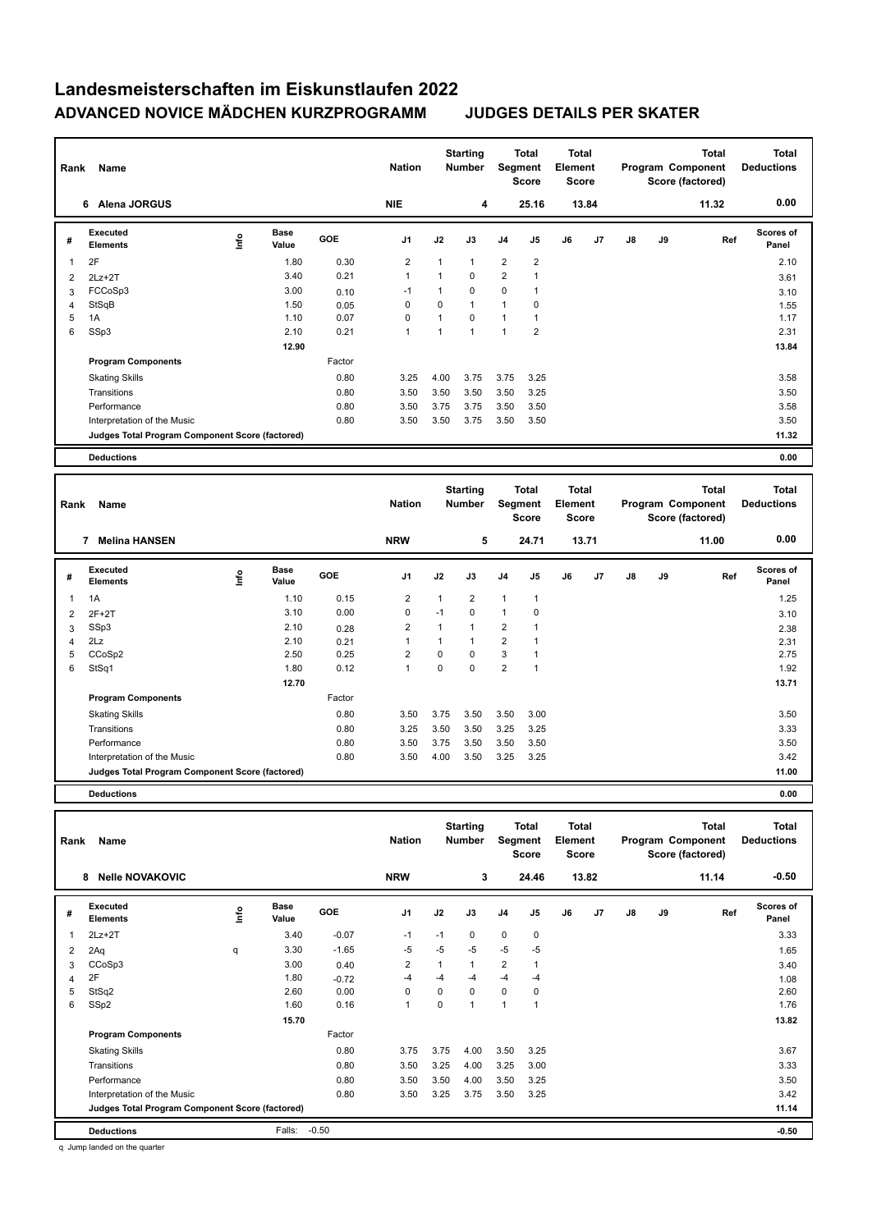| Rank           | Name                                            |      |                      |            | <b>Nation</b>  |      | <b>Starting</b><br>Number | Segment        | <b>Total</b><br><b>Score</b> | <b>Total</b><br>Element<br><b>Score</b> |       |               |    | <b>Total</b><br>Program Component<br>Score (factored) | <b>Total</b><br><b>Deductions</b> |
|----------------|-------------------------------------------------|------|----------------------|------------|----------------|------|---------------------------|----------------|------------------------------|-----------------------------------------|-------|---------------|----|-------------------------------------------------------|-----------------------------------|
|                | Alena JORGUS<br>6                               |      |                      |            | <b>NIE</b>     |      | 4                         |                | 25.16                        |                                         | 13.84 |               |    | 11.32                                                 | 0.00                              |
| #              | Executed<br><b>Elements</b>                     | ١nf٥ | <b>Base</b><br>Value | <b>GOE</b> | J <sub>1</sub> | J2   | J3                        | J4             | J5                           | J6                                      | J7    | $\mathsf{J}8$ | J9 | Ref                                                   | <b>Scores of</b><br>Panel         |
| $\overline{1}$ | 2F                                              |      | 1.80                 | 0.30       | $\overline{2}$ |      | $\mathbf{1}$              | $\overline{2}$ | $\overline{2}$               |                                         |       |               |    |                                                       | 2.10                              |
| 2              | $2Lz+2T$                                        |      | 3.40                 | 0.21       | $\overline{1}$ |      | 0                         | $\overline{2}$ |                              |                                         |       |               |    |                                                       | 3.61                              |
| 3              | FCCoSp3                                         |      | 3.00                 | 0.10       | $-1$           |      | 0                         | $\mathbf 0$    |                              |                                         |       |               |    |                                                       | 3.10                              |
| $\overline{4}$ | StSqB                                           |      | 1.50                 | 0.05       | 0              | 0    | $\mathbf{1}$              | $\mathbf{1}$   | 0                            |                                         |       |               |    |                                                       | 1.55                              |
| 5              | 1A                                              |      | 1.10                 | 0.07       | 0              |      | 0                         | $\mathbf{1}$   |                              |                                         |       |               |    |                                                       | 1.17                              |
| 6              | SSp3                                            |      | 2.10                 | 0.21       | $\overline{1}$ |      | $\mathbf{1}$              | 1              | $\overline{2}$               |                                         |       |               |    |                                                       | 2.31                              |
|                |                                                 |      | 12.90                |            |                |      |                           |                |                              |                                         |       |               |    |                                                       | 13.84                             |
|                | <b>Program Components</b>                       |      |                      | Factor     |                |      |                           |                |                              |                                         |       |               |    |                                                       |                                   |
|                | <b>Skating Skills</b>                           |      |                      | 0.80       | 3.25           | 4.00 | 3.75                      | 3.75           | 3.25                         |                                         |       |               |    |                                                       | 3.58                              |
|                | Transitions                                     |      |                      | 0.80       | 3.50           | 3.50 | 3.50                      | 3.50           | 3.25                         |                                         |       |               |    |                                                       | 3.50                              |
|                | Performance                                     |      |                      | 0.80       | 3.50           | 3.75 | 3.75                      | 3.50           | 3.50                         |                                         |       |               |    |                                                       | 3.58                              |
|                | Interpretation of the Music                     |      |                      | 0.80       | 3.50           | 3.50 | 3.75                      | 3.50           | 3.50                         |                                         |       |               |    |                                                       | 3.50                              |
|                | Judges Total Program Component Score (factored) |      |                      |            |                |      |                           |                |                              |                                         |       |               |    |                                                       | 11.32                             |
|                | <b>Deductions</b>                               |      |                      |            |                |      |                           |                |                              |                                         |       |               |    |                                                       | 0.00                              |
|                |                                                 |      |                      |            |                |      |                           |                |                              |                                         |       |               |    |                                                       |                                   |

| Rank | Name                                            |      |                      |            | <b>Nation</b>  |      | <b>Starting</b><br><b>Number</b> |                | <b>Total</b><br>Segment<br><b>Score</b> | <b>Total</b><br>Element<br>Score |       |               |    | <b>Total</b><br>Program Component<br>Score (factored) | <b>Total</b><br><b>Deductions</b> |  |
|------|-------------------------------------------------|------|----------------------|------------|----------------|------|----------------------------------|----------------|-----------------------------------------|----------------------------------|-------|---------------|----|-------------------------------------------------------|-----------------------------------|--|
|      | 7<br><b>Melina HANSEN</b>                       |      |                      |            | <b>NRW</b>     |      | 5                                |                | 24.71                                   |                                  | 13.71 |               |    | 11.00                                                 | 0.00                              |  |
| #    | <b>Executed</b><br><b>Elements</b>              | ١mfo | <b>Base</b><br>Value | <b>GOE</b> | J <sub>1</sub> | J2   | J3                               | J <sub>4</sub> | J5                                      | J6                               | J7    | $\mathsf{J}8$ | J9 | Ref                                                   | <b>Scores of</b><br>Panel         |  |
| 1    | 1A                                              |      | 1.10                 | 0.15       | $\overline{2}$ | 1    | $\overline{2}$                   | $\mathbf{1}$   | 1                                       |                                  |       |               |    |                                                       | 1.25                              |  |
| 2    | $2F+2T$                                         |      | 3.10                 | 0.00       | 0              | $-1$ | 0                                | $\mathbf{1}$   | 0                                       |                                  |       |               |    |                                                       | 3.10                              |  |
| 3    | SSp3                                            |      | 2.10                 | 0.28       | $\overline{2}$ | 1    | 1                                | $\overline{2}$ | 1                                       |                                  |       |               |    |                                                       | 2.38                              |  |
| 4    | 2Lz                                             |      | 2.10                 | 0.21       | 1              |      |                                  | $\overline{2}$ | 1                                       |                                  |       |               |    |                                                       | 2.31                              |  |
| 5    | CCoSp2                                          |      | 2.50                 | 0.25       | $\overline{2}$ | 0    | $\mathbf 0$                      | 3              | 1                                       |                                  |       |               |    |                                                       | 2.75                              |  |
| 6    | StSq1                                           |      | 1.80                 | 0.12       | $\mathbf{1}$   | 0    | $\mathbf 0$                      | $\overline{2}$ | 1                                       |                                  |       |               |    |                                                       | 1.92                              |  |
|      |                                                 |      | 12.70                |            |                |      |                                  |                |                                         |                                  |       |               |    |                                                       | 13.71                             |  |
|      | <b>Program Components</b>                       |      |                      | Factor     |                |      |                                  |                |                                         |                                  |       |               |    |                                                       |                                   |  |
|      | <b>Skating Skills</b>                           |      |                      | 0.80       | 3.50           | 3.75 | 3.50                             | 3.50           | 3.00                                    |                                  |       |               |    |                                                       | 3.50                              |  |
|      | Transitions                                     |      |                      | 0.80       | 3.25           | 3.50 | 3.50                             | 3.25           | 3.25                                    |                                  |       |               |    |                                                       | 3.33                              |  |
|      | Performance                                     |      |                      | 0.80       | 3.50           | 3.75 | 3.50                             | 3.50           | 3.50                                    |                                  |       |               |    |                                                       | 3.50                              |  |
|      | Interpretation of the Music                     |      |                      | 0.80       | 3.50           | 4.00 | 3.50                             | 3.25           | 3.25                                    |                                  |       |               |    |                                                       | 3.42                              |  |
|      | Judges Total Program Component Score (factored) |      |                      |            |                |      |                                  |                |                                         |                                  |       |               |    |                                                       | 11.00                             |  |
|      | <b>Deductions</b>                               |      |                      |            |                |      |                                  |                |                                         |                                  |       |               |    |                                                       | 0.00                              |  |

| Rank | Name                                            |    |                      |         | <b>Nation</b>  |              | <b>Starting</b><br><b>Number</b> |                | <b>Total</b><br>Segment<br><b>Score</b> | <b>Total</b><br>Element<br><b>Score</b> |       |    |    | Total<br>Program Component<br>Score (factored) | <b>Total</b><br><b>Deductions</b> |
|------|-------------------------------------------------|----|----------------------|---------|----------------|--------------|----------------------------------|----------------|-----------------------------------------|-----------------------------------------|-------|----|----|------------------------------------------------|-----------------------------------|
|      | <b>Nelle NOVAKOVIC</b><br>8                     |    |                      |         | <b>NRW</b>     |              | 3                                |                | 24.46                                   |                                         | 13.82 |    |    | 11.14                                          | $-0.50$                           |
| #    | <b>Executed</b><br><b>Elements</b>              | ۴ů | <b>Base</b><br>Value | GOE     | J <sub>1</sub> | J2           | J3                               | J <sub>4</sub> | J5                                      | J6                                      | J7    | J8 | J9 | Ref                                            | <b>Scores of</b><br>Panel         |
| 1    | $2Lz+2T$                                        |    | 3.40                 | $-0.07$ | $-1$           | $-1$         | $\mathbf 0$                      | $\mathbf 0$    | 0                                       |                                         |       |    |    |                                                | 3.33                              |
| 2    | 2Aq                                             | q  | 3.30                 | $-1.65$ | -5             | $-5$         | -5                               | $-5$           | -5                                      |                                         |       |    |    |                                                | 1.65                              |
| 3    | CCoSp3                                          |    | 3.00                 | 0.40    | 2              | $\mathbf{1}$ | $\mathbf{1}$                     | $\overline{2}$ | $\overline{1}$                          |                                         |       |    |    |                                                | 3.40                              |
| 4    | 2F                                              |    | 1.80                 | $-0.72$ | $-4$           | -4           | -4                               | $-4$           | $-4$                                    |                                         |       |    |    |                                                | 1.08                              |
| 5    | StSq2                                           |    | 2.60                 | 0.00    | 0              | 0            | $\mathbf 0$                      | 0              | 0                                       |                                         |       |    |    |                                                | 2.60                              |
| 6    | SSp2                                            |    | 1.60                 | 0.16    | 1              | 0            | $\overline{1}$                   | $\mathbf{1}$   | 4                                       |                                         |       |    |    |                                                | 1.76                              |
|      |                                                 |    | 15.70                |         |                |              |                                  |                |                                         |                                         |       |    |    |                                                | 13.82                             |
|      | <b>Program Components</b>                       |    |                      | Factor  |                |              |                                  |                |                                         |                                         |       |    |    |                                                |                                   |
|      | <b>Skating Skills</b>                           |    |                      | 0.80    | 3.75           | 3.75         | 4.00                             | 3.50           | 3.25                                    |                                         |       |    |    |                                                | 3.67                              |
|      | Transitions                                     |    |                      | 0.80    | 3.50           | 3.25         | 4.00                             | 3.25           | 3.00                                    |                                         |       |    |    |                                                | 3.33                              |
|      | Performance                                     |    |                      | 0.80    | 3.50           | 3.50         | 4.00                             | 3.50           | 3.25                                    |                                         |       |    |    |                                                | 3.50                              |
|      | Interpretation of the Music                     |    |                      | 0.80    | 3.50           | 3.25         | 3.75                             | 3.50           | 3.25                                    |                                         |       |    |    |                                                | 3.42                              |
|      | Judges Total Program Component Score (factored) |    |                      |         |                |              |                                  |                |                                         |                                         |       |    |    |                                                | 11.14                             |
|      | <b>Deductions</b>                               |    | Falls:               | $-0.50$ |                |              |                                  |                |                                         |                                         |       |    |    |                                                | $-0.50$                           |

q Jump landed on the quarter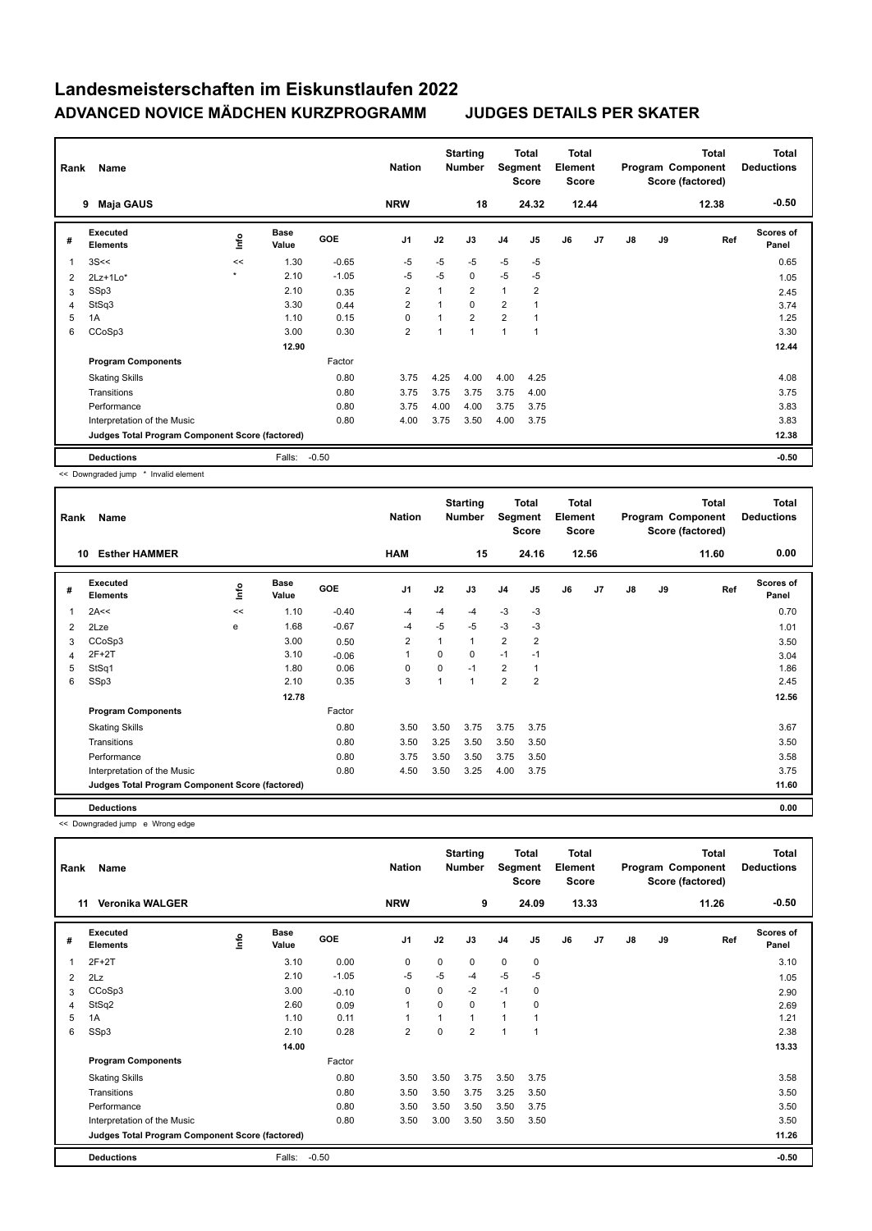| Rank | Name                                            |              |                      |            | <b>Nation</b>  |      | <b>Starting</b><br><b>Number</b> | Segment        | Total<br><b>Score</b> | Total<br>Element<br>Score |       |    |    | <b>Total</b><br>Program Component<br>Score (factored) | <b>Total</b><br><b>Deductions</b> |
|------|-------------------------------------------------|--------------|----------------------|------------|----------------|------|----------------------------------|----------------|-----------------------|---------------------------|-------|----|----|-------------------------------------------------------|-----------------------------------|
|      | <b>Maja GAUS</b><br>9                           |              |                      |            | <b>NRW</b>     |      | 18                               |                | 24.32                 |                           | 12.44 |    |    | 12.38                                                 | $-0.50$                           |
| #    | <b>Executed</b><br><b>Elements</b>              | lnfo         | <b>Base</b><br>Value | <b>GOE</b> | J <sub>1</sub> | J2   | J3                               | J <sub>4</sub> | J <sub>5</sub>        | J6                        | J7    | J8 | J9 | Ref                                                   | <b>Scores of</b><br>Panel         |
| 1    | 3S<<                                            | <<           | 1.30                 | $-0.65$    | $-5$           | $-5$ | $-5$                             | $-5$           | $-5$                  |                           |       |    |    |                                                       | 0.65                              |
| 2    | $2Lz+1Lo*$                                      | $\mathbf{r}$ | 2.10                 | $-1.05$    | $-5$           | -5   | 0                                | $-5$           | $-5$                  |                           |       |    |    |                                                       | 1.05                              |
| 3    | SSp3                                            |              | 2.10                 | 0.35       | $\overline{2}$ | 1    | $\overline{2}$                   | $\mathbf{1}$   | $\overline{2}$        |                           |       |    |    |                                                       | 2.45                              |
| 4    | StSq3                                           |              | 3.30                 | 0.44       | 2              |      | $\Omega$                         | $\overline{2}$ |                       |                           |       |    |    |                                                       | 3.74                              |
| 5    | 1A                                              |              | 1.10                 | 0.15       | $\Omega$       |      | $\overline{2}$                   | $\overline{2}$ |                       |                           |       |    |    |                                                       | 1.25                              |
| 6    | CCoSp3                                          |              | 3.00                 | 0.30       | $\overline{2}$ | 1    | $\overline{ }$                   | $\overline{1}$ |                       |                           |       |    |    |                                                       | 3.30                              |
|      |                                                 |              | 12.90                |            |                |      |                                  |                |                       |                           |       |    |    |                                                       | 12.44                             |
|      | <b>Program Components</b>                       |              |                      | Factor     |                |      |                                  |                |                       |                           |       |    |    |                                                       |                                   |
|      | <b>Skating Skills</b>                           |              |                      | 0.80       | 3.75           | 4.25 | 4.00                             | 4.00           | 4.25                  |                           |       |    |    |                                                       | 4.08                              |
|      | Transitions                                     |              |                      | 0.80       | 3.75           | 3.75 | 3.75                             | 3.75           | 4.00                  |                           |       |    |    |                                                       | 3.75                              |
|      | Performance                                     |              |                      | 0.80       | 3.75           | 4.00 | 4.00                             | 3.75           | 3.75                  |                           |       |    |    |                                                       | 3.83                              |
|      | Interpretation of the Music                     |              |                      | 0.80       | 4.00           | 3.75 | 3.50                             | 4.00           | 3.75                  |                           |       |    |    |                                                       | 3.83                              |
|      | Judges Total Program Component Score (factored) |              |                      |            |                |      |                                  |                |                       |                           |       |    |    |                                                       | 12.38                             |
|      | <b>Deductions</b>                               |              | Falls:               | $-0.50$    |                |      |                                  |                |                       |                           |       |    |    |                                                       | $-0.50$                           |

<< Downgraded jump \* Invalid element

| Rank | Name                                            |    |                      |            | <b>Nation</b>  |             | <b>Starting</b><br><b>Number</b> | Segment        | Total<br><b>Score</b> | <b>Total</b><br>Element<br><b>Score</b> |       |    |    | <b>Total</b><br>Program Component<br>Score (factored) | Total<br><b>Deductions</b> |
|------|-------------------------------------------------|----|----------------------|------------|----------------|-------------|----------------------------------|----------------|-----------------------|-----------------------------------------|-------|----|----|-------------------------------------------------------|----------------------------|
|      | <b>Esther HAMMER</b><br>10                      |    |                      |            | <b>HAM</b>     |             | 15                               |                | 24.16                 |                                         | 12.56 |    |    | 11.60                                                 | 0.00                       |
| #    | <b>Executed</b><br><b>Elements</b>              | ۴  | <b>Base</b><br>Value | <b>GOE</b> | J <sub>1</sub> | J2          | J3                               | J <sub>4</sub> | J <sub>5</sub>        | J6                                      | J7    | J8 | J9 | Ref                                                   | Scores of<br>Panel         |
| 1    | 2A<<                                            | << | 1.10                 | $-0.40$    | -4             | $-4$        | -4                               | $-3$           | $-3$                  |                                         |       |    |    |                                                       | 0.70                       |
| 2    | 2Lze                                            | e  | 1.68                 | $-0.67$    | $-4$           | $-5$        | $-5$                             | $-3$           | -3                    |                                         |       |    |    |                                                       | 1.01                       |
| 3    | CCoSp3                                          |    | 3.00                 | 0.50       | $\overline{2}$ |             | 1                                | $\overline{2}$ | $\overline{2}$        |                                         |       |    |    |                                                       | 3.50                       |
| 4    | $2F+2T$                                         |    | 3.10                 | $-0.06$    | $\mathbf{1}$   | $\Omega$    | 0                                | $-1$           | $-1$                  |                                         |       |    |    |                                                       | 3.04                       |
| 5    | StSq1                                           |    | 1.80                 | 0.06       | 0              | $\mathbf 0$ | $-1$                             | $\overline{2}$ | $\overline{1}$        |                                         |       |    |    |                                                       | 1.86                       |
| 6    | SSp3                                            |    | 2.10                 | 0.35       | 3              |             | 1                                | $\overline{2}$ | 2                     |                                         |       |    |    |                                                       | 2.45                       |
|      |                                                 |    | 12.78                |            |                |             |                                  |                |                       |                                         |       |    |    |                                                       | 12.56                      |
|      | <b>Program Components</b>                       |    |                      | Factor     |                |             |                                  |                |                       |                                         |       |    |    |                                                       |                            |
|      | <b>Skating Skills</b>                           |    |                      | 0.80       | 3.50           | 3.50        | 3.75                             | 3.75           | 3.75                  |                                         |       |    |    |                                                       | 3.67                       |
|      | Transitions                                     |    |                      | 0.80       | 3.50           | 3.25        | 3.50                             | 3.50           | 3.50                  |                                         |       |    |    |                                                       | 3.50                       |
|      | Performance                                     |    |                      | 0.80       | 3.75           | 3.50        | 3.50                             | 3.75           | 3.50                  |                                         |       |    |    |                                                       | 3.58                       |
|      | Interpretation of the Music                     |    |                      | 0.80       | 4.50           | 3.50        | 3.25                             | 4.00           | 3.75                  |                                         |       |    |    |                                                       | 3.75                       |
|      | Judges Total Program Component Score (factored) |    |                      |            |                |             |                                  |                |                       |                                         |       |    |    |                                                       | 11.60                      |
|      | <b>Deductions</b>                               |    |                      |            |                |             |                                  |                |                       |                                         |       |    |    |                                                       | 0.00                       |

<< Downgraded jump e Wrong edge

| Rank | Name                                            |      |                      |         | <b>Nation</b>  |          | <b>Starting</b><br><b>Number</b> | Segment        | <b>Total</b><br><b>Score</b> | <b>Total</b><br>Element<br><b>Score</b> |       |    |    | <b>Total</b><br>Program Component<br>Score (factored) | <b>Total</b><br><b>Deductions</b> |
|------|-------------------------------------------------|------|----------------------|---------|----------------|----------|----------------------------------|----------------|------------------------------|-----------------------------------------|-------|----|----|-------------------------------------------------------|-----------------------------------|
|      | 11<br><b>Veronika WALGER</b>                    |      |                      |         | <b>NRW</b>     |          | 9                                |                | 24.09                        |                                         | 13.33 |    |    | 11.26                                                 | $-0.50$                           |
| #    | <b>Executed</b><br><b>Elements</b>              | lnfo | <b>Base</b><br>Value | GOE     | J <sub>1</sub> | J2       | J3                               | J <sub>4</sub> | J <sub>5</sub>               | J6                                      | J7    | J8 | J9 | Ref                                                   | Scores of<br>Panel                |
| 1    | $2F+2T$                                         |      | 3.10                 | 0.00    | 0              | 0        | 0                                | $\mathbf 0$    | 0                            |                                         |       |    |    |                                                       | 3.10                              |
| 2    | 2Lz                                             |      | 2.10                 | $-1.05$ | $-5$           | $-5$     | $-4$                             | $-5$           | $-5$                         |                                         |       |    |    |                                                       | 1.05                              |
| 3    | CCoSp3                                          |      | 3.00                 | $-0.10$ | 0              | 0        | $-2$                             | $-1$           | 0                            |                                         |       |    |    |                                                       | 2.90                              |
| 4    | StSq2                                           |      | 2.60                 | 0.09    | 1              | $\Omega$ | 0                                | $\overline{1}$ | $\Omega$                     |                                         |       |    |    |                                                       | 2.69                              |
| 5    | 1A                                              |      | 1.10                 | 0.11    | 1              |          | 1                                |                |                              |                                         |       |    |    |                                                       | 1.21                              |
| 6    | SSp3                                            |      | 2.10                 | 0.28    | $\overline{2}$ | 0        | $\overline{2}$                   | 1              | $\overline{\phantom{a}}$     |                                         |       |    |    |                                                       | 2.38                              |
|      |                                                 |      | 14.00                |         |                |          |                                  |                |                              |                                         |       |    |    |                                                       | 13.33                             |
|      | <b>Program Components</b>                       |      |                      | Factor  |                |          |                                  |                |                              |                                         |       |    |    |                                                       |                                   |
|      | <b>Skating Skills</b>                           |      |                      | 0.80    | 3.50           | 3.50     | 3.75                             | 3.50           | 3.75                         |                                         |       |    |    |                                                       | 3.58                              |
|      | Transitions                                     |      |                      | 0.80    | 3.50           | 3.50     | 3.75                             | 3.25           | 3.50                         |                                         |       |    |    |                                                       | 3.50                              |
|      | Performance                                     |      |                      | 0.80    | 3.50           | 3.50     | 3.50                             | 3.50           | 3.75                         |                                         |       |    |    |                                                       | 3.50                              |
|      | Interpretation of the Music                     |      |                      | 0.80    | 3.50           | 3.00     | 3.50                             | 3.50           | 3.50                         |                                         |       |    |    |                                                       | 3.50                              |
|      | Judges Total Program Component Score (factored) |      |                      |         |                |          |                                  |                |                              |                                         |       |    |    |                                                       | 11.26                             |
|      | <b>Deductions</b>                               |      | Falls:               | $-0.50$ |                |          |                                  |                |                              |                                         |       |    |    |                                                       | $-0.50$                           |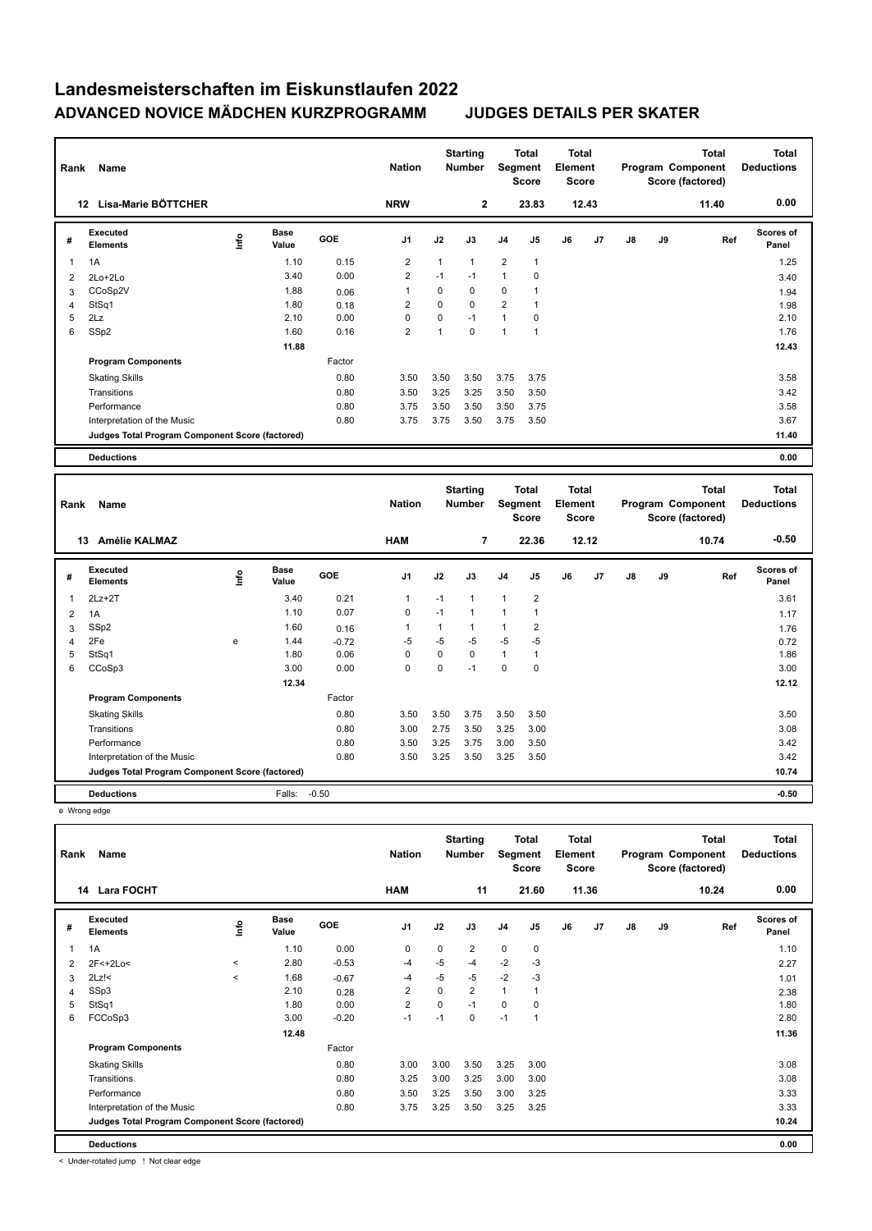| Rank | Name                                            |      |                      |            | <b>Nation</b>  |      | <b>Starting</b><br><b>Number</b> | Segment        | Total<br><b>Score</b> | <b>Total</b><br>Element<br><b>Score</b> |       |               |    | <b>Total</b><br>Program Component<br>Score (factored) | <b>Total</b><br><b>Deductions</b> |
|------|-------------------------------------------------|------|----------------------|------------|----------------|------|----------------------------------|----------------|-----------------------|-----------------------------------------|-------|---------------|----|-------------------------------------------------------|-----------------------------------|
|      | Lisa-Marie BÖTTCHER<br>12                       |      |                      |            | <b>NRW</b>     |      | $\overline{2}$                   |                | 23.83                 |                                         | 12.43 |               |    | 11.40                                                 | 0.00                              |
| #    | Executed<br><b>Elements</b>                     | lnfo | <b>Base</b><br>Value | <b>GOE</b> | J <sub>1</sub> | J2   | J3                               | J <sub>4</sub> | J5                    | J6                                      | J7    | $\mathsf{J}8$ | J9 | Ref                                                   | <b>Scores of</b><br>Panel         |
| 1    | 1A                                              |      | 1.10                 | 0.15       | 2              | 1    | 1                                | 2              | $\mathbf{1}$          |                                         |       |               |    |                                                       | 1.25                              |
| 2    | 2Lo+2Lo                                         |      | 3.40                 | 0.00       | $\overline{2}$ | $-1$ | $-1$                             | $\mathbf{1}$   | 0                     |                                         |       |               |    |                                                       | 3.40                              |
| 3    | CCoSp2V                                         |      | 1.88                 | 0.06       | $\mathbf 1$    | 0    | 0                                | $\mathbf 0$    |                       |                                         |       |               |    |                                                       | 1.94                              |
| 4    | StSq1                                           |      | 1.80                 | 0.18       | 2              | 0    | 0                                | $\overline{2}$ | 1                     |                                         |       |               |    |                                                       | 1.98                              |
| 5    | 2Lz                                             |      | 2.10                 | 0.00       | 0              | 0    | $-1$                             | $\mathbf{1}$   | 0                     |                                         |       |               |    |                                                       | 2.10                              |
| 6    | SSp2                                            |      | 1.60                 | 0.16       | $\overline{2}$ | 1    | 0                                | 1              | $\overline{1}$        |                                         |       |               |    |                                                       | 1.76                              |
|      |                                                 |      | 11.88                |            |                |      |                                  |                |                       |                                         |       |               |    |                                                       | 12.43                             |
|      | <b>Program Components</b>                       |      |                      | Factor     |                |      |                                  |                |                       |                                         |       |               |    |                                                       |                                   |
|      | <b>Skating Skills</b>                           |      |                      | 0.80       | 3.50           | 3.50 | 3.50                             | 3.75           | 3.75                  |                                         |       |               |    |                                                       | 3.58                              |
|      | Transitions                                     |      |                      | 0.80       | 3.50           | 3.25 | 3.25                             | 3.50           | 3.50                  |                                         |       |               |    |                                                       | 3.42                              |
|      | Performance                                     |      |                      | 0.80       | 3.75           | 3.50 | 3.50                             | 3.50           | 3.75                  |                                         |       |               |    |                                                       | 3.58                              |
|      | Interpretation of the Music                     |      |                      | 0.80       | 3.75           | 3.75 | 3.50                             | 3.75           | 3.50                  |                                         |       |               |    |                                                       | 3.67                              |
|      | Judges Total Program Component Score (factored) |      |                      |            |                |      |                                  |                |                       |                                         |       |               |    |                                                       | 11.40                             |
|      | <b>Deductions</b>                               |      |                      |            |                |      |                                  |                |                       |                                         |       |               |    |                                                       | 0.00                              |

| Name<br>Rank |                                                 |    |                      |            | <b>Nation</b>  |          | <b>Starting</b><br>Number | Total<br>Segment<br><b>Score</b> |                | Total<br>Element<br><b>Score</b> |                | <b>Total</b><br>Program Component<br>Score (factored) |    |       | <b>Total</b><br><b>Deductions</b> |
|--------------|-------------------------------------------------|----|----------------------|------------|----------------|----------|---------------------------|----------------------------------|----------------|----------------------------------|----------------|-------------------------------------------------------|----|-------|-----------------------------------|
|              | <b>Amélie KALMAZ</b><br>13                      |    |                      |            | <b>HAM</b>     |          | $\overline{7}$            |                                  | 22.36          |                                  | 12.12          |                                                       |    | 10.74 | $-0.50$                           |
| #            | Executed<br><b>Elements</b>                     | ١m | <b>Base</b><br>Value | <b>GOE</b> | J <sub>1</sub> | J2       | J3                        | J4                               | J5             | J6                               | J <sub>7</sub> | J8                                                    | J9 | Ref   | <b>Scores of</b><br>Panel         |
| 1            | $2Lz+2T$                                        |    | 3.40                 | 0.21       | $\mathbf{1}$   | $-1$     | $\mathbf{1}$              | $\mathbf{1}$                     | $\overline{2}$ |                                  |                |                                                       |    |       | 3.61                              |
| 2            | 1A                                              |    | 1.10                 | 0.07       | 0              | $-1$     | 1                         | 1                                |                |                                  |                |                                                       |    |       | 1.17                              |
| 3            | SSp2                                            |    | 1.60                 | 0.16       | 1              | 1        | 1                         | 1                                | $\overline{2}$ |                                  |                |                                                       |    |       | 1.76                              |
| 4            | 2Fe                                             | e  | 1.44                 | $-0.72$    | -5             | $-5$     | $-5$                      | $-5$                             | -5             |                                  |                |                                                       |    |       | 0.72                              |
| 5            | StSq1                                           |    | 1.80                 | 0.06       | 0              | $\Omega$ | $\Omega$                  | $\mathbf{1}$                     | $\mathbf 1$    |                                  |                |                                                       |    |       | 1.86                              |
| 6            | CCoSp3                                          |    | 3.00                 | 0.00       | 0              | 0        | $-1$                      | 0                                | 0              |                                  |                |                                                       |    |       | 3.00                              |
|              |                                                 |    | 12.34                |            |                |          |                           |                                  |                |                                  |                |                                                       |    |       | 12.12                             |
|              | <b>Program Components</b>                       |    |                      | Factor     |                |          |                           |                                  |                |                                  |                |                                                       |    |       |                                   |
|              | <b>Skating Skills</b>                           |    |                      | 0.80       | 3.50           | 3.50     | 3.75                      | 3.50                             | 3.50           |                                  |                |                                                       |    |       | 3.50                              |
|              | Transitions                                     |    |                      | 0.80       | 3.00           | 2.75     | 3.50                      | 3.25                             | 3.00           |                                  |                |                                                       |    |       | 3.08                              |
|              | Performance                                     |    |                      | 0.80       | 3.50           | 3.25     | 3.75                      | 3.00                             | 3.50           |                                  |                |                                                       |    |       | 3.42                              |
|              | Interpretation of the Music                     |    |                      | 0.80       | 3.50           | 3.25     | 3.50                      | 3.25                             | 3.50           |                                  |                |                                                       |    |       | 3.42                              |
|              | Judges Total Program Component Score (factored) |    |                      |            |                |          |                           |                                  |                |                                  |                |                                                       |    |       | 10.74                             |
|              | <b>Deductions</b>                               |    | Falls:               | $-0.50$    |                |          |                           |                                  |                |                                  |                |                                                       |    |       | $-0.50$                           |

e Wrong edge

| Name<br>Rank   |                                                 |         |                      |         |                | <b>Starting</b><br><b>Nation</b><br><b>Number</b> |                | Total<br>Segment<br><b>Score</b> |                | <b>Total</b><br>Element<br><b>Score</b> |       | <b>Total</b><br>Program Component<br>Score (factored) |    |       | <b>Total</b><br><b>Deductions</b> |
|----------------|-------------------------------------------------|---------|----------------------|---------|----------------|---------------------------------------------------|----------------|----------------------------------|----------------|-----------------------------------------|-------|-------------------------------------------------------|----|-------|-----------------------------------|
|                | <b>Lara FOCHT</b><br>14                         |         |                      |         | <b>HAM</b>     |                                                   | 11             |                                  | 21.60          |                                         | 11.36 |                                                       |    | 10.24 | 0.00                              |
| #              | Executed<br><b>Elements</b>                     | lnfo    | <b>Base</b><br>Value | GOE     | J <sub>1</sub> | J2                                                | J3             | J <sub>4</sub>                   | J <sub>5</sub> | J6                                      | J7    | J8                                                    | J9 | Ref   | <b>Scores of</b><br>Panel         |
|                | 1A                                              |         | 1.10                 | 0.00    | 0              | 0                                                 | $\overline{2}$ | $\mathbf 0$                      | 0              |                                         |       |                                                       |    |       | 1.10                              |
| $\overline{2}$ | 2F<+2Lo<                                        | $\,<\,$ | 2.80                 | $-0.53$ | $-4$           | $-5$                                              | $-4$           | $-2$                             | -3             |                                         |       |                                                       |    |       | 2.27                              |
| 3              | $2Lz$ !<                                        | $\prec$ | 1.68                 | $-0.67$ | $-4$           | $-5$                                              | $-5$           | $-2$                             | -3             |                                         |       |                                                       |    |       | 1.01                              |
| 4              | SSp3                                            |         | 2.10                 | 0.28    | $\overline{2}$ | 0                                                 | $\overline{2}$ | $\mathbf{1}$                     |                |                                         |       |                                                       |    |       | 2.38                              |
| 5              | StSq1                                           |         | 1.80                 | 0.00    | $\overline{2}$ | 0                                                 | $-1$           | 0                                | 0              |                                         |       |                                                       |    |       | 1.80                              |
| 6              | FCCoSp3                                         |         | 3.00                 | $-0.20$ | $-1$           | $-1$                                              | 0              | $-1$                             | 1              |                                         |       |                                                       |    |       | 2.80                              |
|                |                                                 |         | 12.48                |         |                |                                                   |                |                                  |                |                                         |       |                                                       |    |       | 11.36                             |
|                | <b>Program Components</b>                       |         |                      | Factor  |                |                                                   |                |                                  |                |                                         |       |                                                       |    |       |                                   |
|                | <b>Skating Skills</b>                           |         |                      | 0.80    | 3.00           | 3.00                                              | 3.50           | 3.25                             | 3.00           |                                         |       |                                                       |    |       | 3.08                              |
|                | Transitions                                     |         |                      | 0.80    | 3.25           | 3.00                                              | 3.25           | 3.00                             | 3.00           |                                         |       |                                                       |    |       | 3.08                              |
|                | Performance                                     |         |                      | 0.80    | 3.50           | 3.25                                              | 3.50           | 3.00                             | 3.25           |                                         |       |                                                       |    |       | 3.33                              |
|                | Interpretation of the Music                     |         |                      | 0.80    | 3.75           | 3.25                                              | 3.50           | 3.25                             | 3.25           |                                         |       |                                                       |    |       | 3.33                              |
|                | Judges Total Program Component Score (factored) |         |                      |         |                |                                                   |                |                                  |                |                                         |       |                                                       |    |       | 10.24                             |
|                | <b>Deductions</b>                               |         |                      |         |                |                                                   |                |                                  |                |                                         |       |                                                       |    |       | 0.00                              |

< Under-rotated jump ! Not clear edge